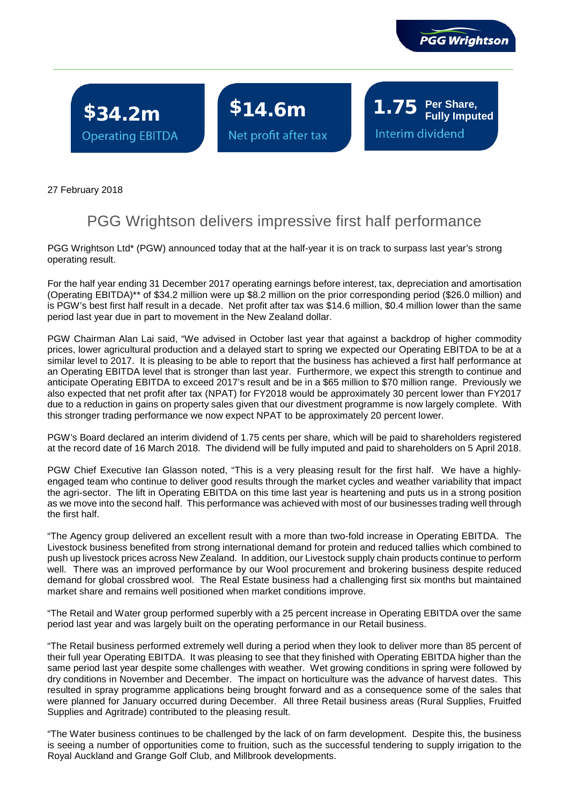

**Fully Imputed**

Interim dividend

\$34.2m \$14.6m 1.75 Per Share, **Operating EBITDA** 

Net profit after tax

ľ

27 February 2018

## PGG Wrightson delivers impressive first half performance

PGG Wrightson Ltd\* (PGW) announced today that at the half-year it is on track to surpass last year's strong operating result.

For the half year ending 31 December 2017 operating earnings before interest, tax, depreciation and amortisation (Operating EBITDA)\*\* of \$34.2 million were up \$8.2 million on the prior corresponding period (\$26.0 million) and is PGW's best first half result in a decade. Net profit after tax was \$14.6 million, \$0.4 million lower than the same period last year due in part to movement in the New Zealand dollar.

PGW Chairman Alan Lai said, "We advised in October last year that against a backdrop of higher commodity prices, lower agricultural production and a delayed start to spring we expected our Operating EBITDA to be at a similar level to 2017. It is pleasing to be able to report that the business has achieved a first half performance at an Operating EBITDA level that is stronger than last year. Furthermore, we expect this strength to continue and anticipate Operating EBITDA to exceed 2017's result and be in a \$65 million to \$70 million range. Previously we also expected that net profit after tax (NPAT) for FY2018 would be approximately 30 percent lower than FY2017 due to a reduction in gains on property sales given that our divestment programme is now largely complete. With this stronger trading performance we now expect NPAT to be approximately 20 percent lower.

PGW's Board declared an interim dividend of 1.75 cents per share, which will be paid to shareholders registered at the record date of 16 March 2018. The dividend will be fully imputed and paid to shareholders on 5 April 2018.

PGW Chief Executive Ian Glasson noted, "This is a very pleasing result for the first half. We have a highlyengaged team who continue to deliver good results through the market cycles and weather variability that impact the agri-sector. The lift in Operating EBITDA on this time last year is heartening and puts us in a strong position as we move into the second half. This performance was achieved with most of our businesses trading well through the first half.

"The Agency group delivered an excellent result with a more than two-fold increase in Operating EBITDA. The Livestock business benefited from strong international demand for protein and reduced tallies which combined to push up livestock prices across New Zealand. In addition, our Livestock supply chain products continue to perform well. There was an improved performance by our Wool procurement and brokering business despite reduced demand for global crossbred wool. The Real Estate business had a challenging first six months but maintained market share and remains well positioned when market conditions improve.

"The Retail and Water group performed superbly with a 25 percent increase in Operating EBITDA over the same period last year and was largely built on the operating performance in our Retail business.

"The Retail business performed extremely well during a period when they look to deliver more than 85 percent of their full year Operating EBITDA. It was pleasing to see that they finished with Operating EBITDA higher than the same period last year despite some challenges with weather. Wet growing conditions in spring were followed by dry conditions in November and December. The impact on horticulture was the advance of harvest dates. This resulted in spray programme applications being brought forward and as a consequence some of the sales that were planned for January occurred during December. All three Retail business areas (Rural Supplies, Fruitfed Supplies and Agritrade) contributed to the pleasing result.

"The Water business continues to be challenged by the lack of on farm development. Despite this, the business is seeing a number of opportunities come to fruition, such as the successful tendering to supply irrigation to the Royal Auckland and Grange Golf Club, and Millbrook developments.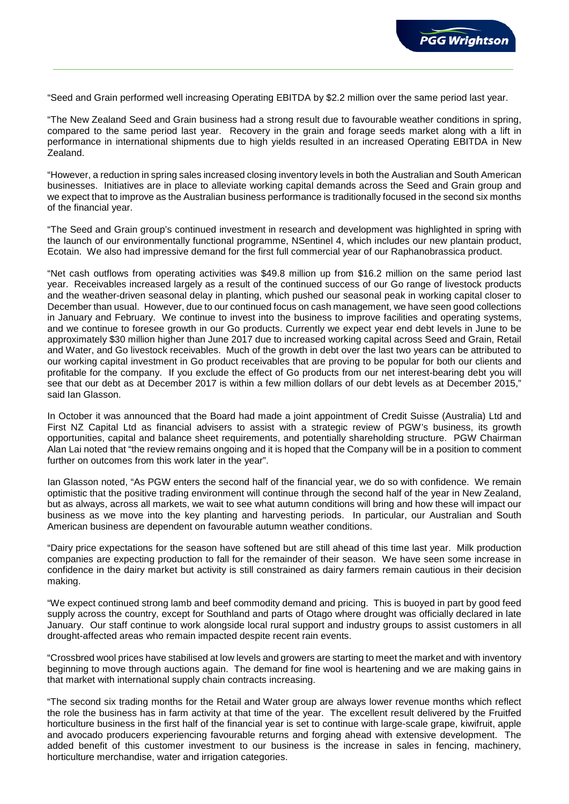

"Seed and Grain performed well increasing Operating EBITDA by \$2.2 million over the same period last year.

"The New Zealand Seed and Grain business had a strong result due to favourable weather conditions in spring, compared to the same period last year. Recovery in the grain and forage seeds market along with a lift in performance in international shipments due to high yields resulted in an increased Operating EBITDA in New Zealand.

"However, a reduction in spring sales increased closing inventory levels in both the Australian and South American businesses. Initiatives are in place to alleviate working capital demands across the Seed and Grain group and we expect that to improve as the Australian business performance is traditionally focused in the second six months of the financial year.

"The Seed and Grain group's continued investment in research and development was highlighted in spring with the launch of our environmentally functional programme, NSentinel 4, which includes our new plantain product, Ecotain. We also had impressive demand for the first full commercial year of our Raphanobrassica product.

"Net cash outflows from operating activities was \$49.8 million up from \$16.2 million on the same period last year. Receivables increased largely as a result of the continued success of our Go range of livestock products and the weather-driven seasonal delay in planting, which pushed our seasonal peak in working capital closer to December than usual. However, due to our continued focus on cash management, we have seen good collections in January and February. We continue to invest into the business to improve facilities and operating systems, and we continue to foresee growth in our Go products. Currently we expect year end debt levels in June to be approximately \$30 million higher than June 2017 due to increased working capital across Seed and Grain, Retail and Water, and Go livestock receivables. Much of the growth in debt over the last two years can be attributed to our working capital investment in Go product receivables that are proving to be popular for both our clients and profitable for the company. If you exclude the effect of Go products from our net interest-bearing debt you will see that our debt as at December 2017 is within a few million dollars of our debt levels as at December 2015," said Ian Glasson.

In October it was announced that the Board had made a joint appointment of Credit Suisse (Australia) Ltd and First NZ Capital Ltd as financial advisers to assist with a strategic review of PGW's business, its growth opportunities, capital and balance sheet requirements, and potentially shareholding structure. PGW Chairman Alan Lai noted that "the review remains ongoing and it is hoped that the Company will be in a position to comment further on outcomes from this work later in the year".

Ian Glasson noted, "As PGW enters the second half of the financial year, we do so with confidence. We remain optimistic that the positive trading environment will continue through the second half of the year in New Zealand, but as always, across all markets, we wait to see what autumn conditions will bring and how these will impact our business as we move into the key planting and harvesting periods. In particular, our Australian and South American business are dependent on favourable autumn weather conditions.

"Dairy price expectations for the season have softened but are still ahead of this time last year. Milk production companies are expecting production to fall for the remainder of their season. We have seen some increase in confidence in the dairy market but activity is still constrained as dairy farmers remain cautious in their decision making.

"We expect continued strong lamb and beef commodity demand and pricing. This is buoyed in part by good feed supply across the country, except for Southland and parts of Otago where drought was officially declared in late January. Our staff continue to work alongside local rural support and industry groups to assist customers in all drought-affected areas who remain impacted despite recent rain events.

"Crossbred wool prices have stabilised at low levels and growers are starting to meet the market and with inventory beginning to move through auctions again. The demand for fine wool is heartening and we are making gains in that market with international supply chain contracts increasing.

"The second six trading months for the Retail and Water group are always lower revenue months which reflect the role the business has in farm activity at that time of the year. The excellent result delivered by the Fruitfed horticulture business in the first half of the financial year is set to continue with large-scale grape, kiwifruit, apple and avocado producers experiencing favourable returns and forging ahead with extensive development. The added benefit of this customer investment to our business is the increase in sales in fencing, machinery, horticulture merchandise, water and irrigation categories.